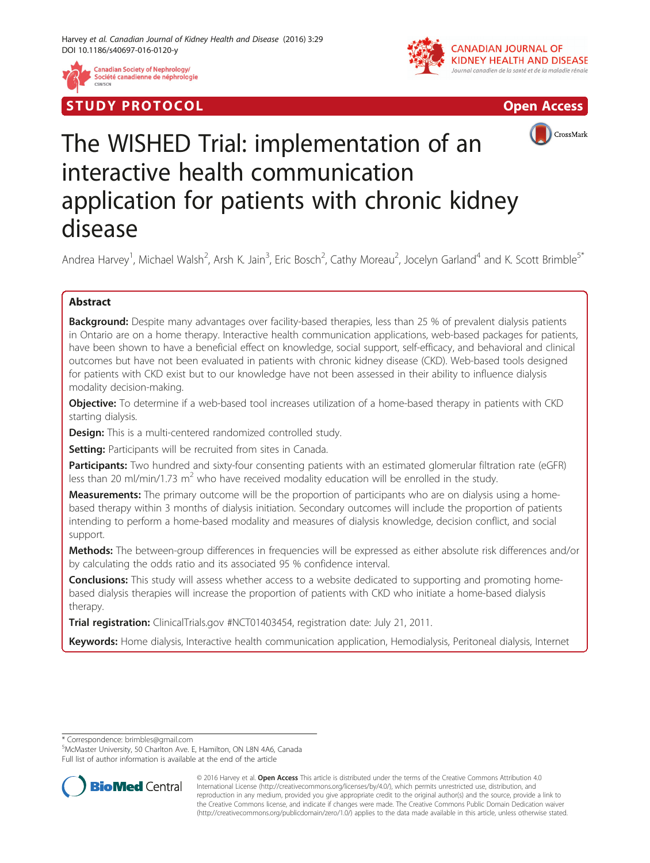

Société canadienne de néphrologie







# The WISHED Trial: implementation of an interactive health communication application for patients with chronic kidney disease

Andrea Harvey<sup>1</sup>, Michael Walsh<sup>2</sup>, Arsh K. Jain<sup>3</sup>, Eric Bosch<sup>2</sup>, Cathy Moreau<sup>2</sup>, Jocelyn Garland<sup>4</sup> and K. Scott Brimble<sup>5\*</sup>

# Abstract

**Background:** Despite many advantages over facility-based therapies, less than 25 % of prevalent dialysis patients in Ontario are on a home therapy. Interactive health communication applications, web-based packages for patients, have been shown to have a beneficial effect on knowledge, social support, self-efficacy, and behavioral and clinical outcomes but have not been evaluated in patients with chronic kidney disease (CKD). Web-based tools designed for patients with CKD exist but to our knowledge have not been assessed in their ability to influence dialysis modality decision-making.

Objective: To determine if a web-based tool increases utilization of a home-based therapy in patients with CKD starting dialysis.

**Design:** This is a multi-centered randomized controlled study.

Setting: Participants will be recruited from sites in Canada.

Participants: Two hundred and sixty-four consenting patients with an estimated glomerular filtration rate (eGFR) less than 20 ml/min/1.73  $m^2$  who have received modality education will be enrolled in the study.

Measurements: The primary outcome will be the proportion of participants who are on dialysis using a homebased therapy within 3 months of dialysis initiation. Secondary outcomes will include the proportion of patients intending to perform a home-based modality and measures of dialysis knowledge, decision conflict, and social support.

Methods: The between-group differences in frequencies will be expressed as either absolute risk differences and/or by calculating the odds ratio and its associated 95 % confidence interval.

**Conclusions:** This study will assess whether access to a website dedicated to supporting and promoting homebased dialysis therapies will increase the proportion of patients with CKD who initiate a home-based dialysis therapy.

Trial registration: ClinicalTrials.gov #[NCT01403454,](https://clinicaltrials.gov/ct2/show/NCT01403454) registration date: July 21, 2011.

Keywords: Home dialysis, Interactive health communication application, Hemodialysis, Peritoneal dialysis, Internet

\* Correspondence: [brimbles@gmail.com](mailto:brimbles@gmail.com) <sup>5</sup>

McMaster University, 50 Charlton Ave. E, Hamilton, ON L8N 4A6, Canada Full list of author information is available at the end of the article



<sup>© 2016</sup> Harvey et al. Open Access This article is distributed under the terms of the Creative Commons Attribution 4.0 International License [\(http://creativecommons.org/licenses/by/4.0/](http://creativecommons.org/licenses/by/4.0/)), which permits unrestricted use, distribution, and reproduction in any medium, provided you give appropriate credit to the original author(s) and the source, provide a link to the Creative Commons license, and indicate if changes were made. The Creative Commons Public Domain Dedication waiver [\(http://creativecommons.org/publicdomain/zero/1.0/](http://creativecommons.org/publicdomain/zero/1.0/)) applies to the data made available in this article, unless otherwise stated.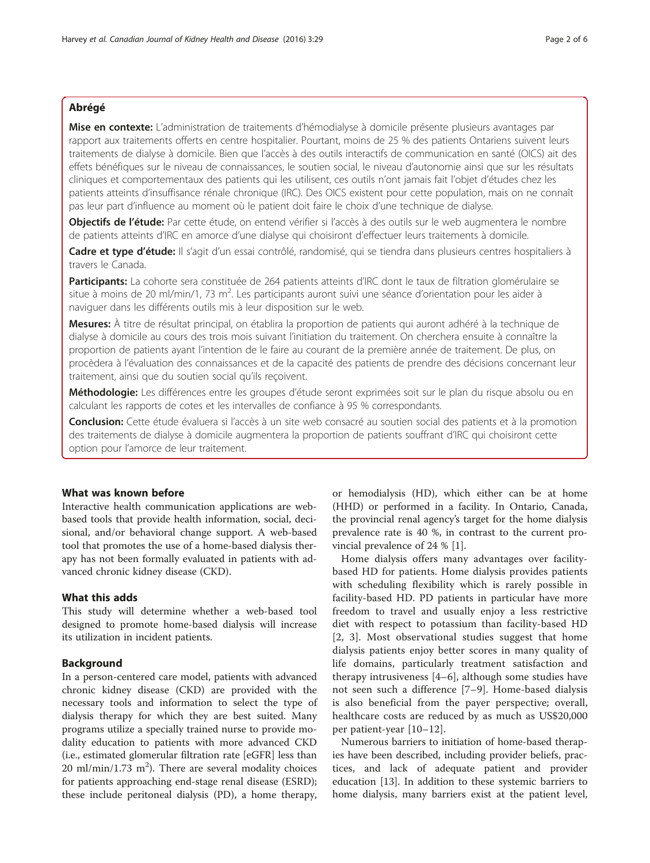# Abrégé

Mise en contexte: L'administration de traitements d'hémodialyse à domicile présente plusieurs avantages par rapport aux traitements offerts en centre hospitalier. Pourtant, moins de 25 % des patients Ontariens suivent leurs traitements de dialyse à domicile. Bien que l'accès à des outils interactifs de communication en santé (OICS) ait des effets bénéfiques sur le niveau de connaissances, le soutien social, le niveau d'autonomie ainsi que sur les résultats cliniques et comportementaux des patients qui les utilisent, ces outils n'ont jamais fait l'objet d'études chez les patients atteints d'insuffisance rénale chronique (IRC). Des OICS existent pour cette population, mais on ne connaît pas leur part d'influence au moment où le patient doit faire le choix d'une technique de dialyse.

Objectifs de l'étude: Par cette étude, on entend vérifier si l'accès à des outils sur le web augmentera le nombre de patients atteints d'IRC en amorce d'une dialyse qui choisiront d'effectuer leurs traitements à domicile.

Cadre et type d'étude: Il s'agit d'un essai contrôlé, randomisé, qui se tiendra dans plusieurs centres hospitaliers à travers le Canada.

Participants: La cohorte sera constituée de 264 patients atteints d'IRC dont le taux de filtration glomérulaire se situe à moins de 20 ml/min/1, 73 m<sup>2</sup>. Les participants auront suivi une séance d'orientation pour les aider à naviguer dans les différents outils mis à leur disposition sur le web.

Mesures: À titre de résultat principal, on établira la proportion de patients qui auront adhéré à la technique de dialyse à domicile au cours des trois mois suivant l'initiation du traitement. On cherchera ensuite à connaître la proportion de patients ayant l'intention de le faire au courant de la première année de traitement. De plus, on procèdera à l'évaluation des connaissances et de la capacité des patients de prendre des décisions concernant leur traitement, ainsi que du soutien social qu'ils reçoivent.

Méthodologie: Les différences entre les groupes d'étude seront exprimées soit sur le plan du risque absolu ou en calculant les rapports de cotes et les intervalles de confiance à 95 % correspondants.

Conclusion: Cette étude évaluera si l'accès à un site web consacré au soutien social des patients et à la promotion des traitements de dialyse à domicile augmentera la proportion de patients souffrant d'IRC qui choisiront cette option pour l'amorce de leur traitement.

# What was known before

Interactive health communication applications are webbased tools that provide health information, social, decisional, and/or behavioral change support. A web-based tool that promotes the use of a home-based dialysis therapy has not been formally evaluated in patients with advanced chronic kidney disease (CKD).

## What this adds

This study will determine whether a web-based tool designed to promote home-based dialysis will increase its utilization in incident patients.

## Background

In a person-centered care model, patients with advanced chronic kidney disease (CKD) are provided with the necessary tools and information to select the type of dialysis therapy for which they are best suited. Many programs utilize a specially trained nurse to provide modality education to patients with more advanced CKD (i.e., estimated glomerular filtration rate [eGFR] less than  $20$  ml/min/1.73 m<sup>2</sup>). There are several modality choices for patients approaching end-stage renal disease (ESRD); these include peritoneal dialysis (PD), a home therapy,

or hemodialysis (HD), which either can be at home (HHD) or performed in a facility. In Ontario, Canada, the provincial renal agency's target for the home dialysis prevalence rate is 40 %, in contrast to the current provincial prevalence of 24 % [\[1\]](#page-5-0).

Home dialysis offers many advantages over facilitybased HD for patients. Home dialysis provides patients with scheduling flexibility which is rarely possible in facility-based HD. PD patients in particular have more freedom to travel and usually enjoy a less restrictive diet with respect to potassium than facility-based HD [[2, 3](#page-5-0)]. Most observational studies suggest that home dialysis patients enjoy better scores in many quality of life domains, particularly treatment satisfaction and therapy intrusiveness [[4](#page-5-0)–[6](#page-5-0)], although some studies have not seen such a difference [[7](#page-5-0)–[9](#page-5-0)]. Home-based dialysis is also beneficial from the payer perspective; overall, healthcare costs are reduced by as much as US\$20,000 per patient-year [[10](#page-5-0)–[12](#page-5-0)].

Numerous barriers to initiation of home-based therapies have been described, including provider beliefs, practices, and lack of adequate patient and provider education [[13](#page-5-0)]. In addition to these systemic barriers to home dialysis, many barriers exist at the patient level,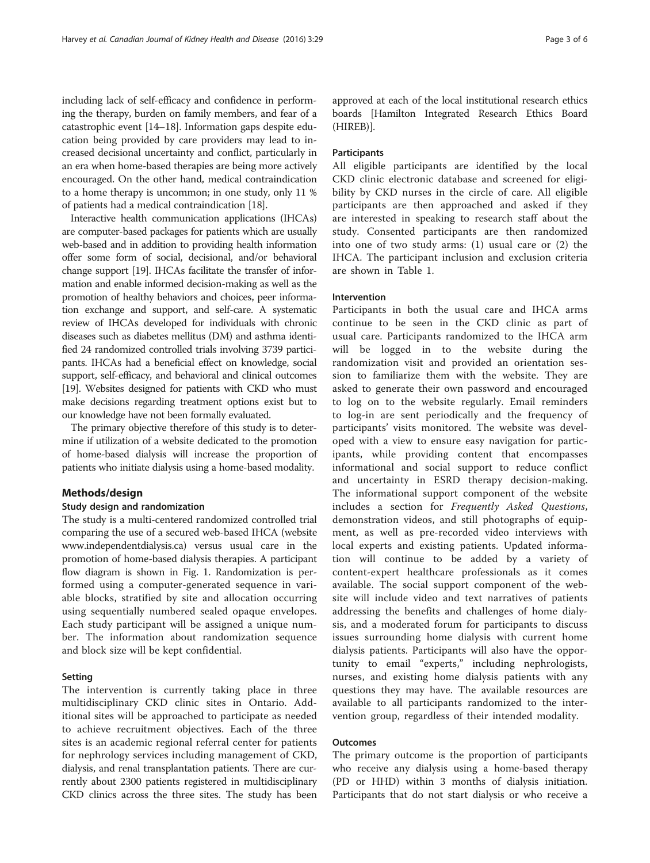including lack of self-efficacy and confidence in performing the therapy, burden on family members, and fear of a catastrophic event [\[14](#page-5-0)–[18](#page-5-0)]. Information gaps despite education being provided by care providers may lead to increased decisional uncertainty and conflict, particularly in an era when home-based therapies are being more actively encouraged. On the other hand, medical contraindication to a home therapy is uncommon; in one study, only 11 % of patients had a medical contraindication [[18](#page-5-0)].

Interactive health communication applications (IHCAs) are computer-based packages for patients which are usually web-based and in addition to providing health information offer some form of social, decisional, and/or behavioral change support [\[19](#page-5-0)]. IHCAs facilitate the transfer of information and enable informed decision-making as well as the promotion of healthy behaviors and choices, peer information exchange and support, and self-care. A systematic review of IHCAs developed for individuals with chronic diseases such as diabetes mellitus (DM) and asthma identified 24 randomized controlled trials involving 3739 participants. IHCAs had a beneficial effect on knowledge, social support, self-efficacy, and behavioral and clinical outcomes [[19](#page-5-0)]. Websites designed for patients with CKD who must make decisions regarding treatment options exist but to our knowledge have not been formally evaluated.

The primary objective therefore of this study is to determine if utilization of a website dedicated to the promotion of home-based dialysis will increase the proportion of patients who initiate dialysis using a home-based modality.

## Methods/design

#### Study design and randomization

The study is a multi-centered randomized controlled trial comparing the use of a secured web-based IHCA (website [www.independentdialysis.ca](http://www.independentdialysis.ca)) versus usual care in the promotion of home-based dialysis therapies. A participant flow diagram is shown in Fig. [1.](#page-3-0) Randomization is performed using a computer-generated sequence in variable blocks, stratified by site and allocation occurring using sequentially numbered sealed opaque envelopes. Each study participant will be assigned a unique number. The information about randomization sequence and block size will be kept confidential.

#### Setting

The intervention is currently taking place in three multidisciplinary CKD clinic sites in Ontario. Additional sites will be approached to participate as needed to achieve recruitment objectives. Each of the three sites is an academic regional referral center for patients for nephrology services including management of CKD, dialysis, and renal transplantation patients. There are currently about 2300 patients registered in multidisciplinary CKD clinics across the three sites. The study has been

approved at each of the local institutional research ethics boards [Hamilton Integrated Research Ethics Board (HIREB)].

### Participants

All eligible participants are identified by the local CKD clinic electronic database and screened for eligibility by CKD nurses in the circle of care. All eligible participants are then approached and asked if they are interested in speaking to research staff about the study. Consented participants are then randomized into one of two study arms: (1) usual care or (2) the IHCA. The participant inclusion and exclusion criteria are shown in Table [1.](#page-4-0)

#### Intervention

Participants in both the usual care and IHCA arms continue to be seen in the CKD clinic as part of usual care. Participants randomized to the IHCA arm will be logged in to the website during the randomization visit and provided an orientation session to familiarize them with the website. They are asked to generate their own password and encouraged to log on to the website regularly. Email reminders to log-in are sent periodically and the frequency of participants' visits monitored. The website was developed with a view to ensure easy navigation for participants, while providing content that encompasses informational and social support to reduce conflict and uncertainty in ESRD therapy decision-making. The informational support component of the website includes a section for Frequently Asked Questions, demonstration videos, and still photographs of equipment, as well as pre-recorded video interviews with local experts and existing patients. Updated information will continue to be added by a variety of content-expert healthcare professionals as it comes available. The social support component of the website will include video and text narratives of patients addressing the benefits and challenges of home dialysis, and a moderated forum for participants to discuss issues surrounding home dialysis with current home dialysis patients. Participants will also have the opportunity to email "experts," including nephrologists, nurses, and existing home dialysis patients with any questions they may have. The available resources are available to all participants randomized to the intervention group, regardless of their intended modality.

## **Outcomes**

The primary outcome is the proportion of participants who receive any dialysis using a home-based therapy (PD or HHD) within 3 months of dialysis initiation. Participants that do not start dialysis or who receive a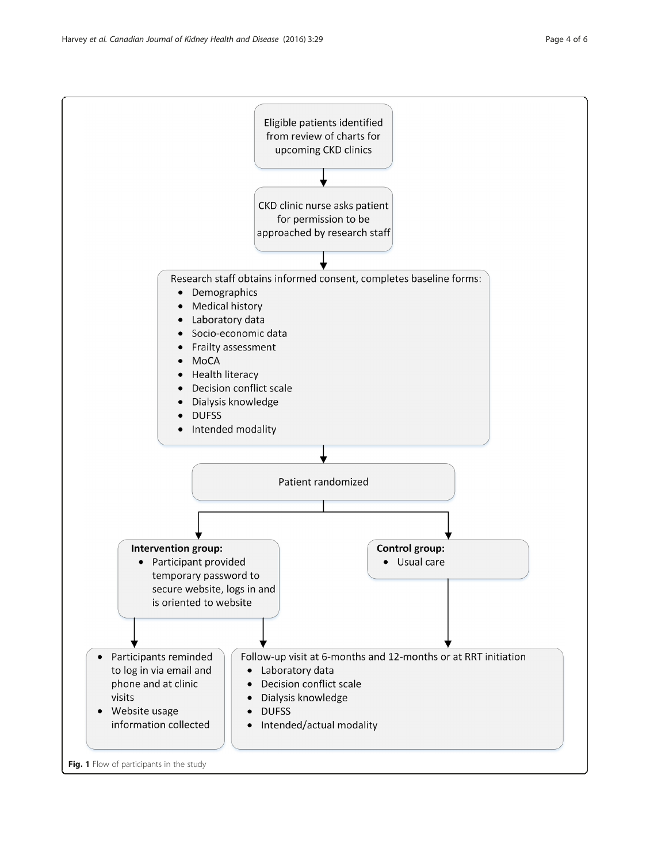<span id="page-3-0"></span>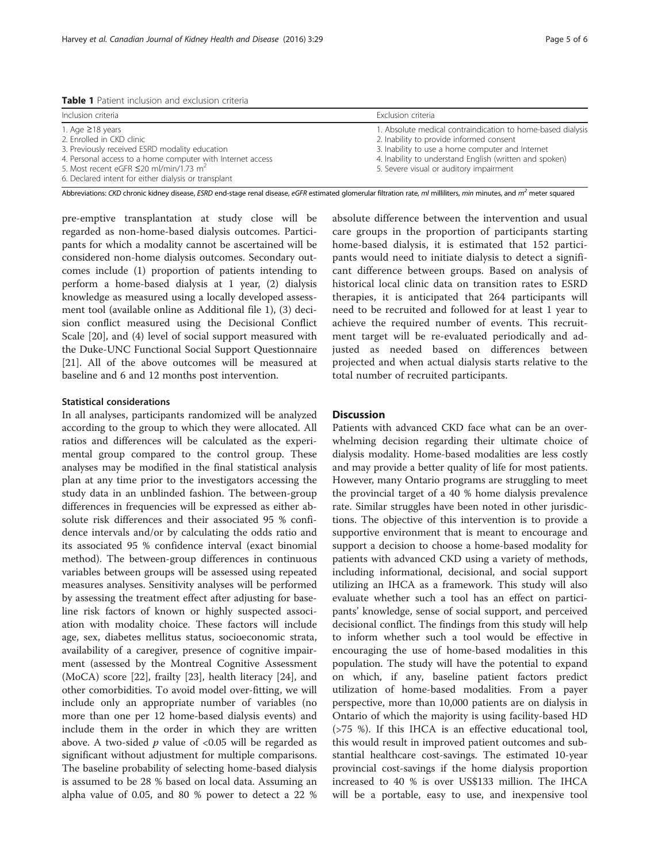<span id="page-4-0"></span>Table 1 Patient inclusion and exclusion criteria

| Inclusion criteria                                         | Exclusion criteria                                                                                      |
|------------------------------------------------------------|---------------------------------------------------------------------------------------------------------|
| 1. Age $\geq$ 18 years<br>2. Enrolled in CKD clinic        | 1. Absolute medical contraindication to home-based dialysis<br>2. Inability to provide informed consent |
| 3. Previously received ESRD modality education             | 3. Inability to use a home computer and Internet                                                        |
| 4. Personal access to a home computer with Internet access | 4. Inability to understand English (written and spoken)                                                 |
| 5. Most recent eGFR $\leq$ 20 ml/min/1.73 m <sup>2</sup>   | 5. Severe visual or auditory impairment                                                                 |
| 6. Declared intent for either dialysis or transplant       |                                                                                                         |

Abbreviations: CKD chronic kidney disease, ESRD end-stage renal disease, eGFR estimated glomerular filtration rate, ml milliliters, min minutes, and  $m^2$  meter squared

pre-emptive transplantation at study close will be regarded as non-home-based dialysis outcomes. Participants for which a modality cannot be ascertained will be considered non-home dialysis outcomes. Secondary outcomes include (1) proportion of patients intending to perform a home-based dialysis at 1 year, (2) dialysis knowledge as measured using a locally developed assessment tool (available online as Additional file [1\)](#page-5-0), (3) decision conflict measured using the Decisional Conflict Scale [\[20\]](#page-5-0), and (4) level of social support measured with the Duke-UNC Functional Social Support Questionnaire [[21\]](#page-5-0). All of the above outcomes will be measured at baseline and 6 and 12 months post intervention.

### Statistical considerations

In all analyses, participants randomized will be analyzed according to the group to which they were allocated. All ratios and differences will be calculated as the experimental group compared to the control group. These analyses may be modified in the final statistical analysis plan at any time prior to the investigators accessing the study data in an unblinded fashion. The between-group differences in frequencies will be expressed as either absolute risk differences and their associated 95 % confidence intervals and/or by calculating the odds ratio and its associated 95 % confidence interval (exact binomial method). The between-group differences in continuous variables between groups will be assessed using repeated measures analyses. Sensitivity analyses will be performed by assessing the treatment effect after adjusting for baseline risk factors of known or highly suspected association with modality choice. These factors will include age, sex, diabetes mellitus status, socioeconomic strata, availability of a caregiver, presence of cognitive impairment (assessed by the Montreal Cognitive Assessment (MoCA) score [\[22\]](#page-5-0), frailty [\[23](#page-5-0)], health literacy [[24](#page-5-0)], and other comorbidities. To avoid model over-fitting, we will include only an appropriate number of variables (no more than one per 12 home-based dialysis events) and include them in the order in which they are written above. A two-sided  $p$  value of <0.05 will be regarded as significant without adjustment for multiple comparisons. The baseline probability of selecting home-based dialysis is assumed to be 28 % based on local data. Assuming an alpha value of 0.05, and 80 % power to detect a 22 %

absolute difference between the intervention and usual care groups in the proportion of participants starting home-based dialysis, it is estimated that 152 participants would need to initiate dialysis to detect a significant difference between groups. Based on analysis of historical local clinic data on transition rates to ESRD therapies, it is anticipated that 264 participants will need to be recruited and followed for at least 1 year to achieve the required number of events. This recruitment target will be re-evaluated periodically and adjusted as needed based on differences between projected and when actual dialysis starts relative to the total number of recruited participants.

## **Discussion**

Patients with advanced CKD face what can be an overwhelming decision regarding their ultimate choice of dialysis modality. Home-based modalities are less costly and may provide a better quality of life for most patients. However, many Ontario programs are struggling to meet the provincial target of a 40 % home dialysis prevalence rate. Similar struggles have been noted in other jurisdictions. The objective of this intervention is to provide a supportive environment that is meant to encourage and support a decision to choose a home-based modality for patients with advanced CKD using a variety of methods, including informational, decisional, and social support utilizing an IHCA as a framework. This study will also evaluate whether such a tool has an effect on participants' knowledge, sense of social support, and perceived decisional conflict. The findings from this study will help to inform whether such a tool would be effective in encouraging the use of home-based modalities in this population. The study will have the potential to expand on which, if any, baseline patient factors predict utilization of home-based modalities. From a payer perspective, more than 10,000 patients are on dialysis in Ontario of which the majority is using facility-based HD (>75 %). If this IHCA is an effective educational tool, this would result in improved patient outcomes and substantial healthcare cost-savings. The estimated 10-year provincial cost-savings if the home dialysis proportion increased to 40 % is over US\$133 million. The IHCA will be a portable, easy to use, and inexpensive tool